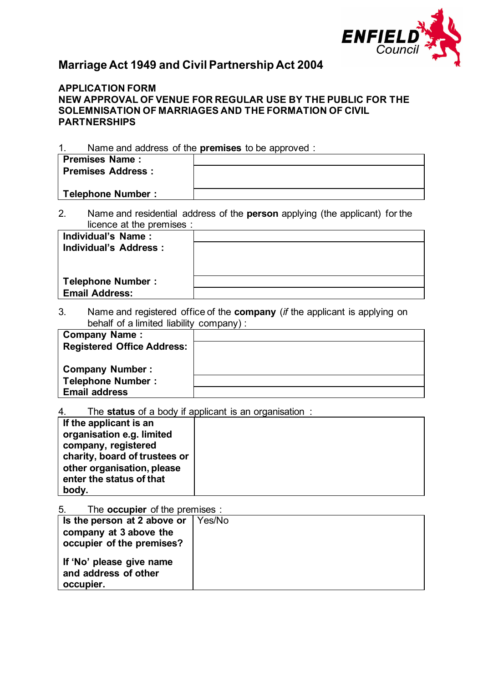

# **Marriage Act 1949 and Civil Partnership Act 2004**

# **APPLICATION FORM NEW APPROVAL OF VENUE FOR REGULAR USE BY THE PUBLIC FOR THE SOLEMNISATION OF MARRIAGES AND THE FORMATION OF CIVIL PARTNERSHIPS**

1. Name and address of the **premises** to be approved :

| <b>Premises Name:</b>    |  |
|--------------------------|--|
| <b>Premises Address:</b> |  |
|                          |  |
| <b>Telephone Number:</b> |  |

2. Name and residential address of the **person** applying (the applicant) for the licence at the premises :

| Individual's Name:       |  |
|--------------------------|--|
| Individual's Address :   |  |
|                          |  |
|                          |  |
| <b>Telephone Number:</b> |  |
| <b>Email Address:</b>    |  |
|                          |  |

3. Name and registered office of the **company** (*if* the applicant is applying on behalf of a limited liability company) :

| <b>Company Name:</b>              |  |
|-----------------------------------|--|
| <b>Registered Office Address:</b> |  |
|                                   |  |
| <b>Company Number:</b>            |  |
| <b>Telephone Number:</b>          |  |
| <b>Email address</b>              |  |

4. The **status** of a body if applicant is an organisation :

| If the applicant is an        |  |
|-------------------------------|--|
| organisation e.g. limited     |  |
| company, registered           |  |
| charity, board of trustees or |  |
| other organisation, please    |  |
| enter the status of that      |  |
| body.                         |  |

5. The **occupier** of the premises :

| Is the person at 2 above or                                   | Yes/No |
|---------------------------------------------------------------|--------|
| company at 3 above the                                        |        |
| occupier of the premises?                                     |        |
| If 'No' please give name<br>and address of other<br>occupier. |        |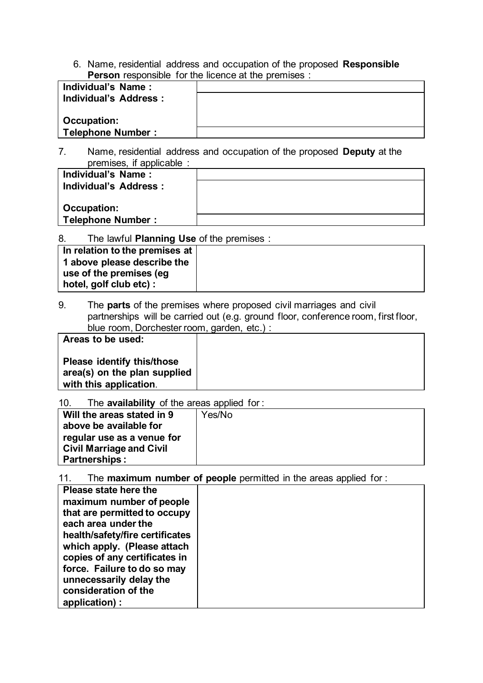6. Name, residential address and occupation of the proposed **Responsible Person** responsible for the licence at the premises :

| Individual's Name:     |  |
|------------------------|--|
| Individual's Address : |  |
|                        |  |
| Occupation:            |  |
| Telephone Number:      |  |

7. Name, residential address and occupation of the proposed **Deputy** at the premises, if applicable :

| P <sub>1</sub>           |  |
|--------------------------|--|
| Individual's Name:       |  |
| Individual's Address :   |  |
|                          |  |
| Occupation:              |  |
| <b>Telephone Number:</b> |  |
|                          |  |

8. The lawful **Planning Use** of the premises :

| In relation to the premises at |  |
|--------------------------------|--|
| 1 above please describe the    |  |
| use of the premises (eg        |  |
| hotel, golf club etc) :        |  |

9. The **parts** of the premises where proposed civil marriages and civil partnerships will be carried out (e.g. ground floor, conference room, first floor, blue room, Dorchester room, garden, etc.) :

| Areas to be used:                                                                           |  |
|---------------------------------------------------------------------------------------------|--|
| <b>Please identify this/those</b><br>area(s) on the plan supplied<br>with this application. |  |

10. The **availability** of the areas applied for :

11. The **maximum number of people** permitted in the areas applied for :

| Please state here the           |  |
|---------------------------------|--|
| maximum number of people        |  |
| that are permitted to occupy    |  |
| each area under the             |  |
| health/safety/fire certificates |  |
| which apply. (Please attach     |  |
| copies of any certificates in   |  |
| force. Failure to do so may     |  |
| unnecessarily delay the         |  |
| consideration of the            |  |
| application):                   |  |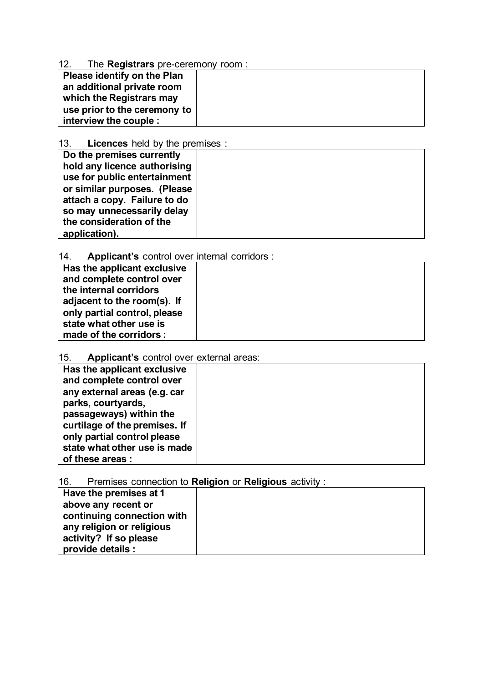# 12. The **Registrars** pre-ceremony room :

| $\mathbf{r}$ and $\mathbf{r}$ and $\mathbf{r}$ and $\mathbf{r}$ and $\mathbf{r}$ is the set of $\mathbf{r}$ |  |
|-------------------------------------------------------------------------------------------------------------|--|
| Please identify on the Plan                                                                                 |  |
| an additional private room                                                                                  |  |
| which the Registrars may                                                                                    |  |
| use prior to the ceremony to                                                                                |  |
| interview the couple :                                                                                      |  |

# 13. **Licences** held by the premises :

| Do the premises currently    |  |
|------------------------------|--|
| hold any licence authorising |  |
| use for public entertainment |  |
| or similar purposes. (Please |  |
| attach a copy. Failure to do |  |
| so may unnecessarily delay   |  |
| the consideration of the     |  |
| application).                |  |

# 14. **Applicant's** control over internal corridors :

| Has the applicant exclusive  |  |
|------------------------------|--|
| and complete control over    |  |
| the internal corridors       |  |
| adjacent to the room(s). If  |  |
| only partial control, please |  |
| state what other use is      |  |
| made of the corridors:       |  |
|                              |  |

# 15. **Applicant's** control over external areas:

| Has the applicant exclusive<br>and complete control over |  |
|----------------------------------------------------------|--|
| any external areas (e.g. car                             |  |
| parks, courtyards,                                       |  |
| passageways) within the<br>curtilage of the premises. If |  |
| only partial control please                              |  |
| state what other use is made                             |  |
| of these areas :                                         |  |

# 16. Premises connection to **Religion** or **Religious** activity :

| Have the premises at 1<br>above any recent or           |  |
|---------------------------------------------------------|--|
| continuing connection with<br>any religion or religious |  |
| activity? If so please<br>provide details :             |  |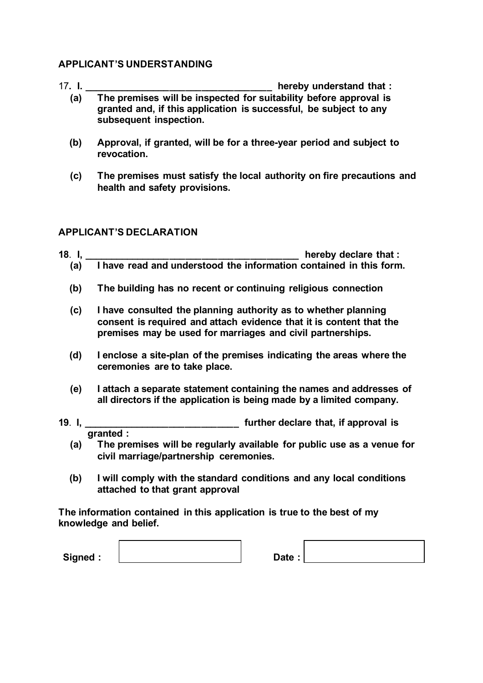# **APPLICANT'S UNDERSTANDING**

- 17**. I. \_\_\_\_\_\_\_\_\_\_\_\_\_\_\_\_\_\_\_\_\_\_\_\_\_\_\_\_\_\_\_\_\_\_\_ hereby understand that : (a) The premises will be inspected for suitability before approval is granted and, if this application is successful, be subject to any subsequent inspection.**
	- **(b) Approval, if granted, will be for a three-year period and subject to revocation.**
	- **(c) The premises must satisfy the local authority on fire precautions and health and safety provisions.**

# **APPLICANT'S DECLARATION**

- **18**. **I, \_\_\_\_\_\_\_\_\_\_\_\_\_\_\_\_\_\_\_\_\_\_\_\_\_\_\_\_\_\_\_\_\_\_\_\_\_\_\_\_ hereby declare that : (a) I have read and understood the information contained in this form.**
	- **(b) The building has no recent or continuing religious connection**
	- **(c) I have consulted the planning authority as to whether planning consent is required and attach evidence that it is content that the premises may be used for marriages and civil partnerships.**
	- **(d) I enclose a site-plan of the premises indicating the areas where the ceremonies are to take place.**
	- **(e) I attach a separate statement containing the names and addresses of all directors if the application is being made by a limited company.**
- **19**. **I, \_\_\_\_\_\_\_\_\_\_\_\_\_\_\_\_\_\_\_\_\_\_\_\_\_\_\_\_\_ further declare that, if approval is granted :**
	- **(a) The premises will be regularly available for public use as a venue for civil marriage/partnership ceremonies.**
	- **(b) I will comply with the standard conditions and any local conditions attached to that grant approval**

**The information contained in this application is true to the best of my knowledge and belief.**

Signed :  $\vert$  Date :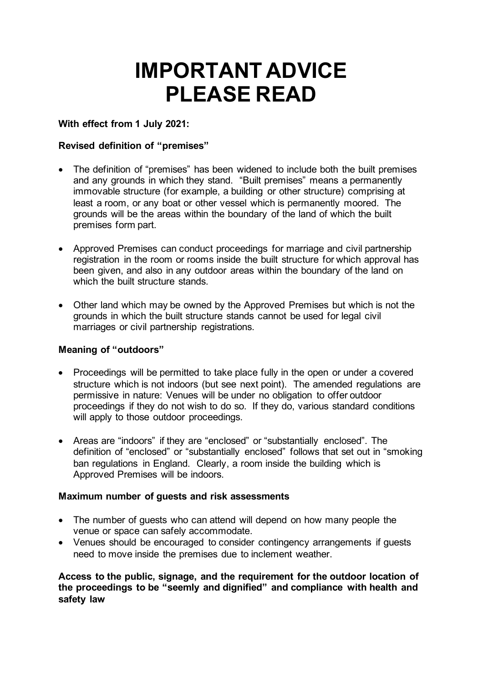# **IMPORTANT ADVICE PLEASE READ**

# **With effect from 1 July 2021:**

# **Revised definition of "premises"**

- The definition of "premises" has been widened to include both the built premises and any grounds in which they stand. "Built premises" means a permanently immovable structure (for example, a building or other structure) comprising at least a room, or any boat or other vessel which is permanently moored. The grounds will be the areas within the boundary of the land of which the built premises form part.
- Approved Premises can conduct proceedings for marriage and civil partnership registration in the room or rooms inside the built structure for which approval has been given, and also in any outdoor areas within the boundary of the land on which the built structure stands.
- Other land which may be owned by the Approved Premises but which is not the grounds in which the built structure stands cannot be used for legal civil marriages or civil partnership registrations.

# **Meaning of "outdoors"**

- Proceedings will be permitted to take place fully in the open or under a covered structure which is not indoors (but see next point). The amended regulations are permissive in nature: Venues will be under no obligation to offer outdoor proceedings if they do not wish to do so. If they do, various standard conditions will apply to those outdoor proceedings.
- Areas are "indoors" if they are "enclosed" or "substantially enclosed". The definition of "enclosed" or "substantially enclosed" follows that set out in "smoking ban regulations in England. Clearly, a room inside the building which is Approved Premises will be indoors.

## **Maximum number of guests and risk assessments**

- The number of quests who can attend will depend on how many people the venue or space can safely accommodate.
- Venues should be encouraged to consider contingency arrangements if guests need to move inside the premises due to inclement weather.

**Access to the public, signage, and the requirement for the outdoor location of the proceedings to be "seemly and dignified" and compliance with health and safety law**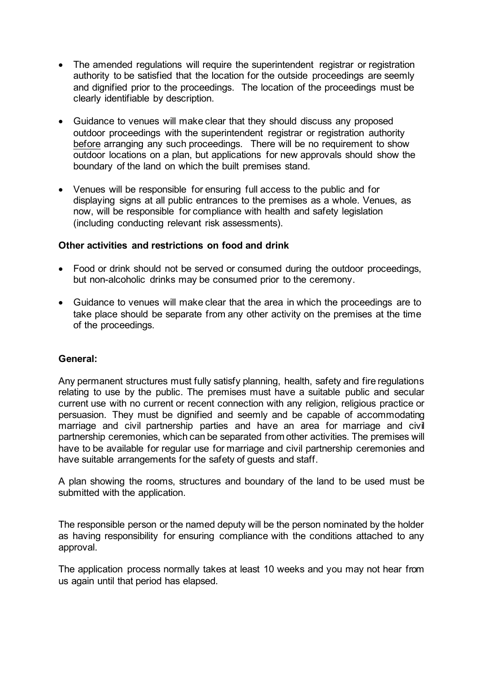- The amended regulations will reguire the superintendent registrar or registration authority to be satisfied that the location for the outside proceedings are seemly and dignified prior to the proceedings. The location of the proceedings must be clearly identifiable by description.
- Guidance to venues will make clear that they should discuss any proposed outdoor proceedings with the superintendent registrar or registration authority before arranging any such proceedings. There will be no requirement to show outdoor locations on a plan, but applications for new approvals should show the boundary of the land on which the built premises stand.
- Venues will be responsible for ensuring full access to the public and for displaying signs at all public entrances to the premises as a whole. Venues, as now, will be responsible for compliance with health and safety legislation (including conducting relevant risk assessments).

## **Other activities and restrictions on food and drink**

- Food or drink should not be served or consumed during the outdoor proceedings, but non-alcoholic drinks may be consumed prior to the ceremony.
- Guidance to venues will make clear that the area in which the proceedings are to take place should be separate from any other activity on the premises at the time of the proceedings.

#### **General:**

Any permanent structures must fully satisfy planning, health, safety and fire regulations relating to use by the public. The premises must have a suitable public and secular current use with no current or recent connection with any religion, religious practice or persuasion. They must be dignified and seemly and be capable of accommodating marriage and civil partnership parties and have an area for marriage and civil partnership ceremonies, which can be separated from other activities. The premises will have to be available for regular use for marriage and civil partnership ceremonies and have suitable arrangements for the safety of guests and staff.

A plan showing the rooms, structures and boundary of the land to be used must be submitted with the application.

The responsible person or the named deputy will be the person nominated by the holder as having responsibility for ensuring compliance with the conditions attached to any approval.

The application process normally takes at least 10 weeks and you may not hear from us again until that period has elapsed.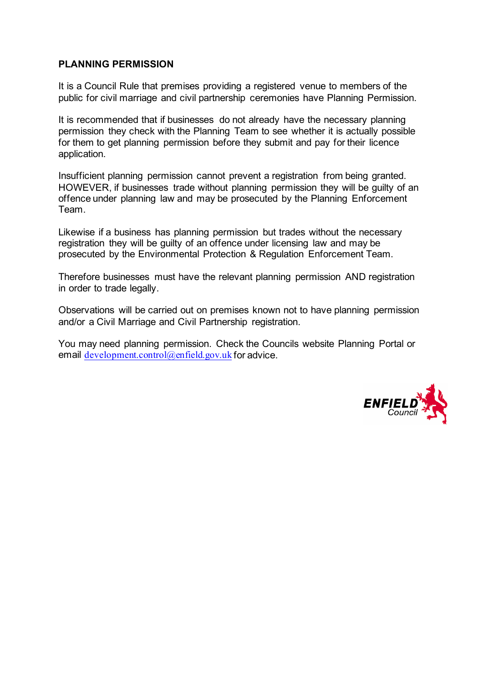# **PLANNING PERMISSION**

It is a Council Rule that premises providing a registered venue to members of the public for civil marriage and civil partnership ceremonies have Planning Permission.

It is recommended that if businesses do not already have the necessary planning permission they check with the Planning Team to see whether it is actually possible for them to get planning permission before they submit and pay for their licence application.

Insufficient planning permission cannot prevent a registration from being granted. HOWEVER, if businesses trade without planning permission they will be guilty of an offence under planning law and may be prosecuted by the Planning Enforcement Team.

Likewise if a business has planning permission but trades without the necessary registration they will be guilty of an offence under licensing law and may be prosecuted by the Environmental Protection & Regulation Enforcement Team.

Therefore businesses must have the relevant planning permission AND registration in order to trade legally.

Observations will be carried out on premises known not to have planning permission and/or a Civil Marriage and Civil Partnership registration.

You may need planning permission. Check the Councils website Planning Portal or email [development.control@enfield.gov.uk](mailto:development.control@enfield.gov.uk) for advice.

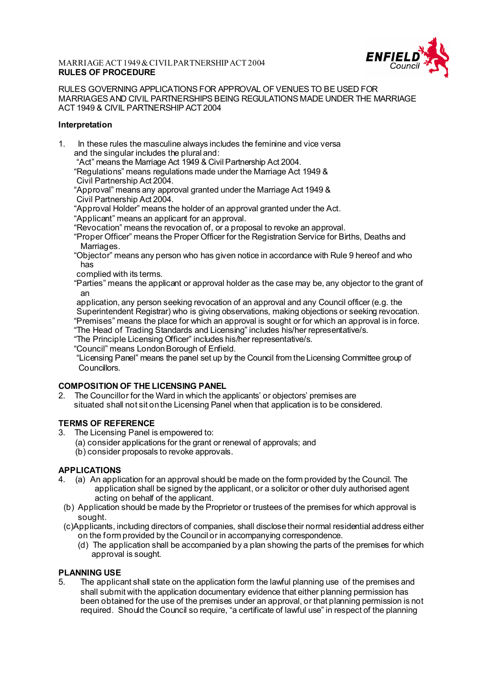#### MARRIAGE ACT 1949 & CIVIL PARTNERSHIP ACT 2004 **RULES OF PROCEDURE**



RULES GOVERNING APPLICATIONS FOR APPROVAL OF VENUES TO BE USED FOR MARRIAGES AND CIVIL PARTNERSHIPS BEING REGULATIONS MADE UNDER THE MARRIAGE ACT 1949 & CIVIL PARTNERSHIP ACT 2004

#### **Interpretation**

1. In these rules the masculine always includes the feminine and vice versa and the singular includes the plural and:

"Act" means the Marriage Act 1949 & Civil Partnership Act 2004.

- "Regulations" means regulations made under the Marriage Act 1949 & Civil Partnership Act 2004.
- "Approval" means any approval granted under the Marriage Act 1949 & Civil Partnership Act 2004.

"Approval Holder" means the holder of an approval granted under the Act.

"Applicant" means an applicant for an approval.

- "Revocation" means the revocation of, or a proposal to revoke an approval.
- "Proper Officer" means the Proper Officer for the Registration Service for Births, Deaths and Marriages
- "Objector" means any person who has given notice in accordance with Rule 9 hereof and who has
- complied with its terms.

 "Parties" means the applicant or approval holder as the case may be, any objector to the grant of an

 application, any person seeking revocation of an approval and any Council officer (e.g. the Superintendent Registrar) who is giving observations, making objections or seeking revocation.

"Premises" means the place for which an approval is sought or for which an approval is in force.

"The Head of Trading Standards and Licensing" includes his/her representative/s.

"The Principle Licensing Officer" includes his/her representative/s.

"Council" means London Borough of Enfield.

 "Licensing Panel" means the panel set up by the Council from the Licensing Committee group of Councillors.

#### **COMPOSITION OF THE LICENSING PANEL**

2. The Councillor for the Ward in which the applicants' or objectors' premises are situated shall not sit on the Licensing Panel when that application is to be considered.

# **TERMS OF REFERENCE**<br>3 The Licensing Panel is

- The Licensing Panel is empowered to:
	- (a) consider applications for the grant or renewal of approvals; and
	- (b) consider proposals to revoke approvals.

#### **APPLICATIONS**

- 4. (a) An application for an approval should be made on the form provided by the Council. The application shall be signed by the applicant, or a solicitor or other duly authorised agent acting on behalf of the applicant.
- (b) Application should be made by the Proprietor or trustees of the premises for which approval is sought.
- (c)Applicants, including directors of companies, shall disclose their normal residential address either on the form provided by the Council or in accompanying correspondence.
	- (d) The application shall be accompanied by a plan showing the parts of the premises for which approval is sought.

#### **PLANNING USE**

5. The applicant shall state on the application form the lawful planning use of the premises and shall submit with the application documentary evidence that either planning permission has been obtained for the use of the premises under an approval, or that planning permission is not required. Should the Council so require, "a certificate of lawful use" in respect of the planning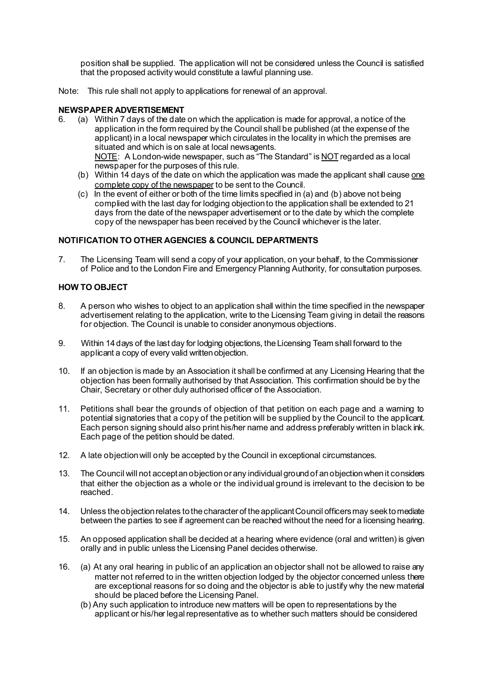position shall be supplied. The application will not be considered unless the Council is satisfied that the proposed activity would constitute a lawful planning use.

Note: This rule shall not apply to applications for renewal of an approval.

# **NEWSPAPER ADVERTISEMENT**<br>6. (a) Within 7 days of the date

- 6. (a) Within 7 days of the date on which the application is made for approval, a notice of the application in the form required by the Council shall be published (at the expense of the applicant) in a local newspaper which circulates in the locality in which the premises are situated and which is on sale at local newsagents. NOTE: A London-wide newspaper, such as "The Standard" is NOT regarded as a local newspaper for the purposes of this rule.
	- (b) Within 14 days of the date on which the application was made the applicant shall cause one complete copy of the newspaper to be sent to the Council.
	- $(c)$  In the event of either or both of the time limits specified in (a) and (b) above not being complied with the last day for lodging objection to the application shall be extended to 21 days from the date of the newspaper advertisement or to the date by which the complete copy of the newspaper has been received by the Council whichever is the later.

#### **NOTIFICATION TO OTHER AGENCIES & COUNCIL DEPARTMENTS**

7. The Licensing Team will send a copy of your application, on your behalf, to the Commissioner of Police and to the London Fire and Emergency Planning Authority, for consultation purposes.

#### **HOW TO OBJECT**

- 8. A person who wishes to object to an application shall within the time specified in the newspaper advertisement relating to the application, write to the Licensing Team giving in detail the reasons for objection. The Council is unable to consider anonymous objections.
- 9. Within 14 days of the last day for lodging objections, the Licensing Team shall forward to the applicant a copy of every valid written objection.
- 10. If an objection is made by an Association it shall be confirmed at any Licensing Hearing that the objection has been formally authorised by that Association. This confirmation should be by the Chair, Secretary or other duly authorised officer of the Association.
- 11. Petitions shall bear the grounds of objection of that petition on each page and a warning to potential signatories that a copy of the petition will be supplied by the Council to the applicant. Each person signing should also print his/her name and address preferably written in black ink. Each page of the petition should be dated.
- 12. A late objection will only be accepted by the Council in exceptional circumstances.
- 13. The Council will not accept an objection or any individual ground of an objection when it considers that either the objection as a whole or the individual ground is irrelevant to the decision to be reached.
- 14. Unless the objection relates to the character of the applicant Council officers may seek to mediate between the parties to see if agreement can be reached without the need for a licensing hearing.
- 15. An opposed application shall be decided at a hearing where evidence (oral and written) is given orally and in public unless the Licensing Panel decides otherwise.
- 16. (a) At any oral hearing in public of an application an objector shall not be allowed to raise any matter not referred to in the written objection lodged by the objector concerned unless there are exceptional reasons for so doing and the objector is able to justify why the new material should be placed before the Licensing Panel.
	- (b) Any such application to introduce new matters will be open to representations by the applicant or his/her legal representative as to whether such matters should be considered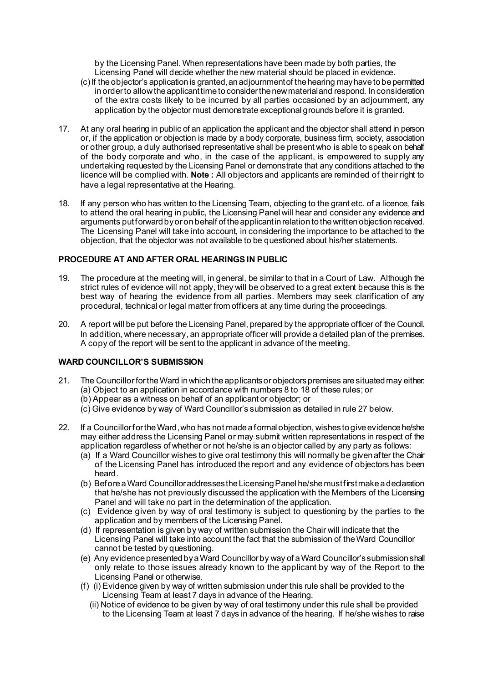by the Licensing Panel. When representations have been made by both parties, the Licensing Panel will decide whether the new material should be placed in evidence.

- (c) If the objector's application is granted, an adjournment of the hearing may have to be permitted in order to allow the applicant time to consider the new material and respond. In consideration of the extra costs likely to be incurred by all parties occasioned by an adjournment, any application by the objector must demonstrate exceptional grounds before it is granted.
- 17. At any oral hearing in public of an application the applicant and the objector shall attend in person or, if the application or objection is made by a body corporate, business firm, society, association or other group, a duly authorised representative shall be present who is able to speak on behalf of the body corporate and who, in the case of the applicant, is empowered to supply any undertaking requested by the Licensing Panel or demonstrate that any conditions attached to the licence will be complied with. **Note :** All objectors and applicants are reminded of their right to have a legal representative at the Hearing.
- 18. If any person who has written to the Licensing Team, objecting to the grant etc. of a licence, fails to attend the oral hearing in public, the Licensing Panel will hear and consider any evidence and arguments put forward by or on behalf of the applicant in relation to the written objection received. The Licensing Panel will take into account, in considering the importance to be attached to the objection, that the objector was not available to be questioned about his/her statements.

#### **PROCEDURE AT AND AFTER ORAL HEARINGS IN PUBLIC**

- 19. The procedure at the meeting will, in general, be similar to that in a Court of Law. Although the strict rules of evidence will not apply, they will be observed to a great extent because this is the best way of hearing the evidence from all parties. Members may seek clarification of any procedural, technical or legal matter from officers at any time during the proceedings.
- 20. A report will be put before the Licensing Panel, prepared by the appropriate officer of the Council. In addition, where necessary, an appropriate officer will provide a detailed plan of the premises. A copy of the report will be sent to the applicant in advance of the meeting.

#### **WARD COUNCILLOR'S SUBMISSION**

- 21. The Councillor for the Ward in which the applicants or objectors premises are situated may either: (a) Object to an application in accordance with numbers 8 to 18 of these rules; or
	- (b) Appear as a witness on behalf of an applicant or objector; or
	- (c) Give evidence by way of Ward Councillor's submission as detailed in rule 27 below.
- 22. If a Councillor for the Ward, who has not made a formal objection, wishes to give evidence he/she may either address the Licensing Panel or may submit written representations in respect of the application regardless of whether or not he/she is an objector called by any party as follows:
	- (a) If a Ward Councillor wishes to give oral testimony this will normally be given after the Chair of the Licensing Panel has introduced the report and any evidence of objectors has been heard.
	- (b) Before a Ward Councillor addresses the Licensing Panel he/she must first make a declaration that he/she has not previously discussed the application with the Members of the Licensing Panel and will take no part in the determination of the application.
	- (c) Evidence given by way of oral testimony is subject to questioning by the parties to the application and by members of the Licensing Panel.
	- (d) If representation is given by way of written submission the Chair will indicate that the Licensing Panel will take into account the fact that the submission of the Ward Councillor cannot be tested by questioning.
	- (e) Any evidencepresented by a Ward Councillor by way of a Ward Councillor's submission shall only relate to those issues already known to the applicant by way of the Report to the Licensing Panel or otherwise.
	- (f) (i) Evidence given by way of written submission under this rule shall be provided to the Licensing Team at least 7 days in advance of the Hearing.
		- (ii) Notice of evidence to be given by way of oral testimony under this rule shall be provided to the Licensing Team at least 7 days in advance of the hearing. If he/she wishes to raise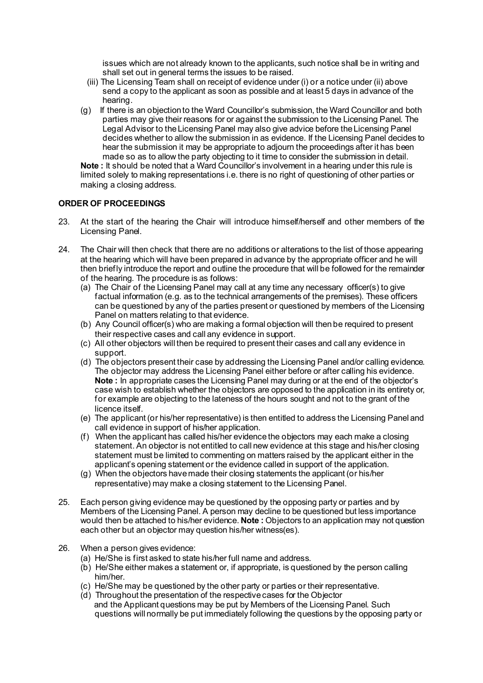issues which are not already known to the applicants, such notice shall be in writing and shall set out in general terms the issues to be raised.

- (iii) The Licensing Team shall on receipt of evidence under (i) or a notice under (ii) above send a copy to the applicant as soon as possible and at least 5 days in advance of the hearing.
- (g) If there is an objection to the Ward Councillor's submission, the Ward Councillor and both parties may give their reasons for or against the submission to the Licensing Panel. The Legal Advisor to the Licensing Panel may also give advice before the Licensing Panel decides whether to allow the submission in as evidence. If the Licensing Panel decides to hear the submission it may be appropriate to adjourn the proceedings after it has been made so as to allow the party objecting to it time to consider the submission in detail.

**Note :** It should be noted that a Ward Councillor's involvement in a hearing under this rule is limited solely to making representations i.e. there is no right of questioning of other parties or making a closing address.

#### **ORDER OF PROCEEDINGS**

- 23. At the start of the hearing the Chair will introduce himself/herself and other members of the Licensing Panel.
- 24. The Chair will then check that there are no additions or alterations to the list of those appearing at the hearing which will have been prepared in advance by the appropriate officer and he will then briefly introduce the report and outline the procedure that will be followed for the remainder of the hearing. The procedure is as follows:
	- (a) The Chair of the Licensing Panel may call at any time any necessary officer(s) to give factual information (e.g. as to the technical arrangements of the premises). These officers can be questioned by any of the parties present or questioned by members of the Licensing Panel on matters relating to that evidence.
	- (b) Any Council officer(s) who are making a formal objection will then be required to present their respective cases and call any evidence in support.
	- (c) All other objectors will then be required to present their cases and call any evidence in support.
	- (d) The objectors present their case by addressing the Licensing Panel and/or calling evidence. The objector may address the Licensing Panel either before or after calling his evidence. **Note :** In appropriate cases the Licensing Panel may during or at the end of the objector's case wish to establish whether the objectors are opposed to the application in its entirety or, for example are objecting to the lateness of the hours sought and not to the grant of the licence itself.
	- (e) The applicant (or his/her representative) is then entitled to address the Licensing Panel and call evidence in support of his/her application.
	- (f) When the applicant has called his/her evidence the objectors may each make a closing statement. An objector is not entitled to call new evidence at this stage and his/her closing statement must be limited to commenting on matters raised by the applicant either in the applicant's opening statement or the evidence called in support of the application.
	- (g) When the objectors have made their closing statements the applicant (or his/her representative) may make a closing statement to the Licensing Panel.
- 25. Each person giving evidence may be questioned by the opposing party or parties and by Members of the Licensing Panel. A person may decline to be questioned but less importance would then be attached to his/her evidence. **Note :** Objectors to an application may not question each other but an objector may question his/her witness(es).
- 26. When a person gives evidence:
	- (a) He/She is first asked to state his/her full name and address.
	- (b) He/She either makes a statement or, if appropriate, is questioned by the person calling him/her.
	- (c) He/She may be questioned by the other party or parties or their representative.
	- (d) Throughout the presentation of the respective cases for the Objector and the Applicant questions may be put by Members of the Licensing Panel. Such questions will normally be put immediately following the questions by the opposing party or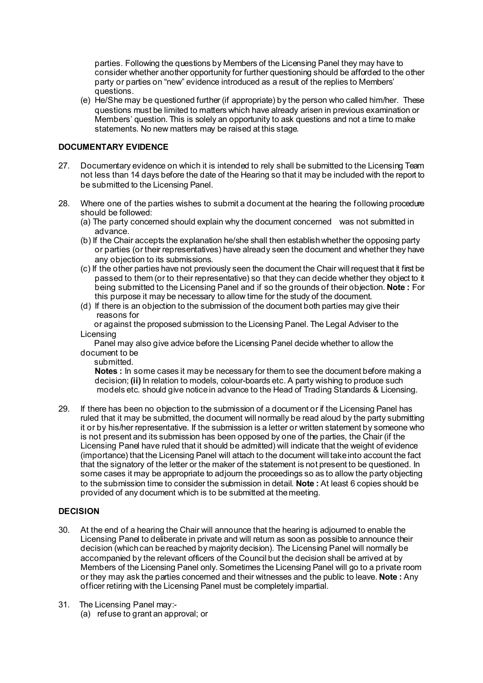parties. Following the questions by Members of the Licensing Panel they may have to consider whether another opportunity for further questioning should be afforded to the other party or parties on "new" evidence introduced as a result of the replies to Members' questions.

(e) He/She may be questioned further (if appropriate) by the person who called him/her. These questions must be limited to matters which have already arisen in previous examination or Members' question. This is solely an opportunity to ask questions and not a time to make statements. No new matters may be raised at this stage.

#### **DOCUMENTARY EVIDENCE**

- 27. Documentary evidence on which it is intended to rely shall be submitted to the Licensing Team not less than 14 days before the date of the Hearing so that it may be included with the report to be submitted to the Licensing Panel.
- 28. Where one of the parties wishes to submit a document at the hearing the following procedure should be followed:
	- (a) The party concerned should explain why the document concerned was not submitted in advance.
	- (b) If the Chair accepts the explanation he/she shall then establish whether the opposing party or parties (or their representatives) have already seen the document and whether they have any objection to its submissions.
	- (c) If the other parties have not previously seen the document the Chair will request that it first be passed to them (or to their representative) so that they can decide whether they object to it being submitted to the Licensing Panel and if so the grounds of their objection. **Note :** For this purpose it may be necessary to allow time for the study of the document.
	- (d) If there is an objection to the submission of the document both parties may give their reasons for

 or against the proposed submission to the Licensing Panel. The Legal Adviser to the Licensing

 Panel may also give advice before the Licensing Panel decide whether to allow the document to be

submitted.

**Notes :** In some cases it may be necessary for them to see the document before making a decision; **(ii)** In relation to models, colour-boards etc. A party wishing to produce such models etc. should give notice in advance to the Head of Trading Standards & Licensing.

29. If there has been no objection to the submission of a document or if the Licensing Panel has ruled that it may be submitted, the document will normally be read aloud by the party submitting it or by his/her representative. If the submission is a letter or written statement by someone who is not present and its submission has been opposed by one of the parties, the Chair (if the Licensing Panel have ruled that it should be admitted) will indicate that the weight of evidence (importance) that the Licensing Panel will attach to the document will take into account the fact that the signatory of the letter or the maker of the statement is not present to be questioned. In some cases it may be appropriate to adjourn the proceedings so as to allow the party objecting to the submission time to consider the submission in detail. **Note :** At least 6 copies should be provided of any document which is to be submitted at the meeting.

#### **DECISION**

- 30. At the end of a hearing the Chair will announce that the hearing is adjourned to enable the Licensing Panel to deliberate in private and will return as soon as possible to announce their decision (which can be reached by majority decision). The Licensing Panel will normally be accompanied by the relevant officers of the Council but the decision shall be arrived at by Members of the Licensing Panel only. Sometimes the Licensing Panel will go to a private room or they may ask the parties concerned and their witnesses and the public to leave. **Note :** Any officer retiring with the Licensing Panel must be completely impartial.
- 31. The Licensing Panel may:-
	- (a) refuse to grant an approval; or